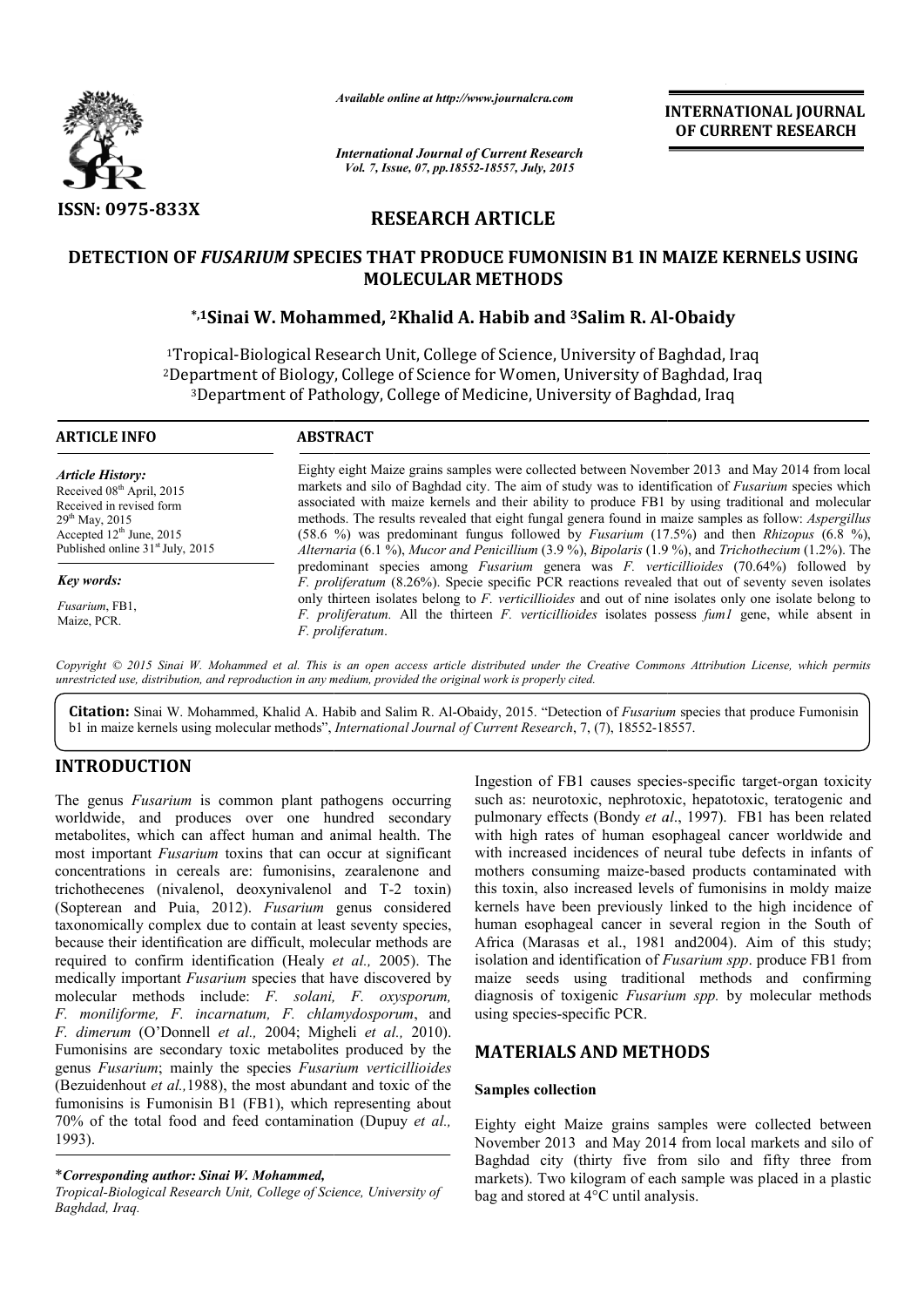

*Available online at http://www.journalcra.com*

*International Journal of Current Research Vol. 7, Issue, 07, pp.18552-18557, July, 2015*

**INTERNATIONAL INTERNATIONAL JOURNAL OF CURRENT RESEARCH** 

# **RESEARCH ARTICLE**

## **DETECTION OF** *FUSARIUM* **SPECIES THAT PRODUCE FUMONISIN B1 IN MAIZE KERNELS USING PRODUCE FUMONISIN MOLECULAR METHODS**

## **\*,1Sinai W. Mohammed, Sinai 2Khalid A. Habib and 3Salim R. Al Salim Al-Obaidy**

<sup>1</sup>Tropical-Biological Research Unit, College of Science, University of Baghdad, Iraq <sup>2</sup>Department of Biology, College of Science for Women, University of Baghdad, Iraq <sup>3</sup>Department of Pathology, College of Medicine, University of Baghdad, Iraq

| <b>ARTICLE INFO</b>                                                                                                                                                                            | <b>ABSTRACT</b>                                                                                                                                                                                                                                                                                                                                                                                                                                                                                                                                                                                                                          |
|------------------------------------------------------------------------------------------------------------------------------------------------------------------------------------------------|------------------------------------------------------------------------------------------------------------------------------------------------------------------------------------------------------------------------------------------------------------------------------------------------------------------------------------------------------------------------------------------------------------------------------------------------------------------------------------------------------------------------------------------------------------------------------------------------------------------------------------------|
| <b>Article History:</b><br>Received 08 <sup>th</sup> April, 2015<br>Received in revised form<br>$29th$ May, 2015<br>Accepted $12^{\text{th}}$ June, 2015<br>Published online $31st$ July, 2015 | Eighty eight Maize grains samples were collected between November 2013 and May 2014 from local<br>markets and silo of Baghdad city. The aim of study was to identification of Fusarium species which<br>associated with maize kernels and their ability to produce FB1 by using traditional and molecular<br>methods. The results revealed that eight fungal genera found in maize samples as follow: <i>Aspergillus</i><br>(58.6 %) was predominant fungus followed by <i>Fusarium</i> (17.5%) and then <i>Rhizopus</i> (6.8 %),<br>Alternaria (6.1 %), Mucor and Penicillium (3.9 %), Bipolaris (1.9 %), and Trichothecium (1.2%). The |
| Key words:                                                                                                                                                                                     | predominant species among <i>Fusarium</i> genera was <i>F. verticillioides</i> (70.64%) followed by<br>F. proliferatum (8.26%). Specie specific PCR reactions revealed that out of seventy seven isolates                                                                                                                                                                                                                                                                                                                                                                                                                                |
| Fusarium, FB1,<br>Maize, PCR.                                                                                                                                                                  | only thirteen isolates belong to F, verticillioides and out of nine isolates only one isolate belong to<br>F. proliferatum. All the thirteen F. verticillioides isolates possess fuml gene, while absent in<br>F. proliferatum.                                                                                                                                                                                                                                                                                                                                                                                                          |

Copyright © 2015 Sinai W. Mohammed et al. This is an open access article distributed under the Creative Commons Attribution License, which permits *unrestricted use, distribution, and reproduction in any medium, provided the original work is properly cited.*

**Citation:** Sinai W. Mohammed, Khalid A. Habib and Salim R. Al-Obaidy, 2015. "Detection of *Fusarium* species that produce Fumonisin b1 in maize kernels using molecular methods", *International Journal of Current Research*, 7, (7), 18552-18557.

## **INTRODUCTION**

The genus *Fusarium* is common plant pathogens occurring worldwide, and produces over one hundred secondary metabolites, which can affect human and animal health. The most important *Fusarium* toxins that can occur at significant concentrations in cereals are: fumonisins, zearalenone and trichothecenes (nivalenol, deoxynivalenol and T T-2 toxin) (Sopterean and Puia, 2012). *Fusarium* genus considered taxonomically complex due to contain at least seventy species, because their identification are difficult, molecular methods are required to confirm identification (Healy *et al.,* 2005). The medically important *Fusarium* species that have discovered by molecular methods include: *F. solani, F. oxysporum, F. moniliforme, F. incarnatum, F. chlamydosporum* , and *F. dimerum* (O'Donnell *et al.,* 2004; Migheli *et al.,* 2010). Fumonisins are secondary toxic metabolites produced by the genus *Fusarium*; mainly the species *Fusarium verticillioides*  (Bezuidenhout *et al.*, 1988), the most abundant and toxic of the fumonisins is Fumonisin B1 (FB1), which representing about 70% of the total food and feed contamination (Dupuy *et al.,* 1993).

\**Corresponding author: Sinai W. Mohammed,*

Ingestion of FB1 causes species-specific target-organ toxicity such as: neurotoxic, nephrotoxic, hepatotoxic, teratogenic and pulmonary effects (Bondy et al., 1997). FB1 has been related with high rates of human esophageal cancer worldwide and with increased incidences of neural tube defects in infants of mothers consuming maize-based products contaminated with this toxin, also increased levels of fumonisins in moldy maize with increased incidences of neural tube defects in infants of mothers consuming maize-based products contaminated with this toxin, also increased levels of fumonisins in moldy maize kernels have been previously linked to human esophageal cancer in several region in the South of human esophageal cancer in several region in the South of Africa (Marasas et al., 1981 and 2004). Aim of this study; isolation and identification of *Fusarium spp*. produce FB1 from maize seeds using traditional methods and confirming diagnosis of toxigenic *Fusarium spp. Fusarium*  by molecular methods using species-specific PCR. INTERNATIONAL JOURNAL<br>
OF CURRENT RESEARCH<br>
OF CURRENT RESEARCH<br>
A CHENT RESEARCH<br>
Salim R. Al-Obaidy<br>
Salim R. Al-Obaidy<br>
Salim R. Al-Obaidy<br>
Niversity of Baghdad, Iraq<br>
hetween November 2013 and May 2014 from local<br>
bet

## **MATERIALS AND METHODS METHODS**

### **Samples collection**

Eighty eight Maize grains samples were collected betwe between November 2013 and May 2014 from local markets and silo of Baghdad city (thirty five from silo and fifty three from markets). Two kilogram of each sample was placed in a plastic bag and stored at 4°C until analysis.

**Tropical-Biological Research Unit, College of Science, University of** *Baghdad, Iraq.*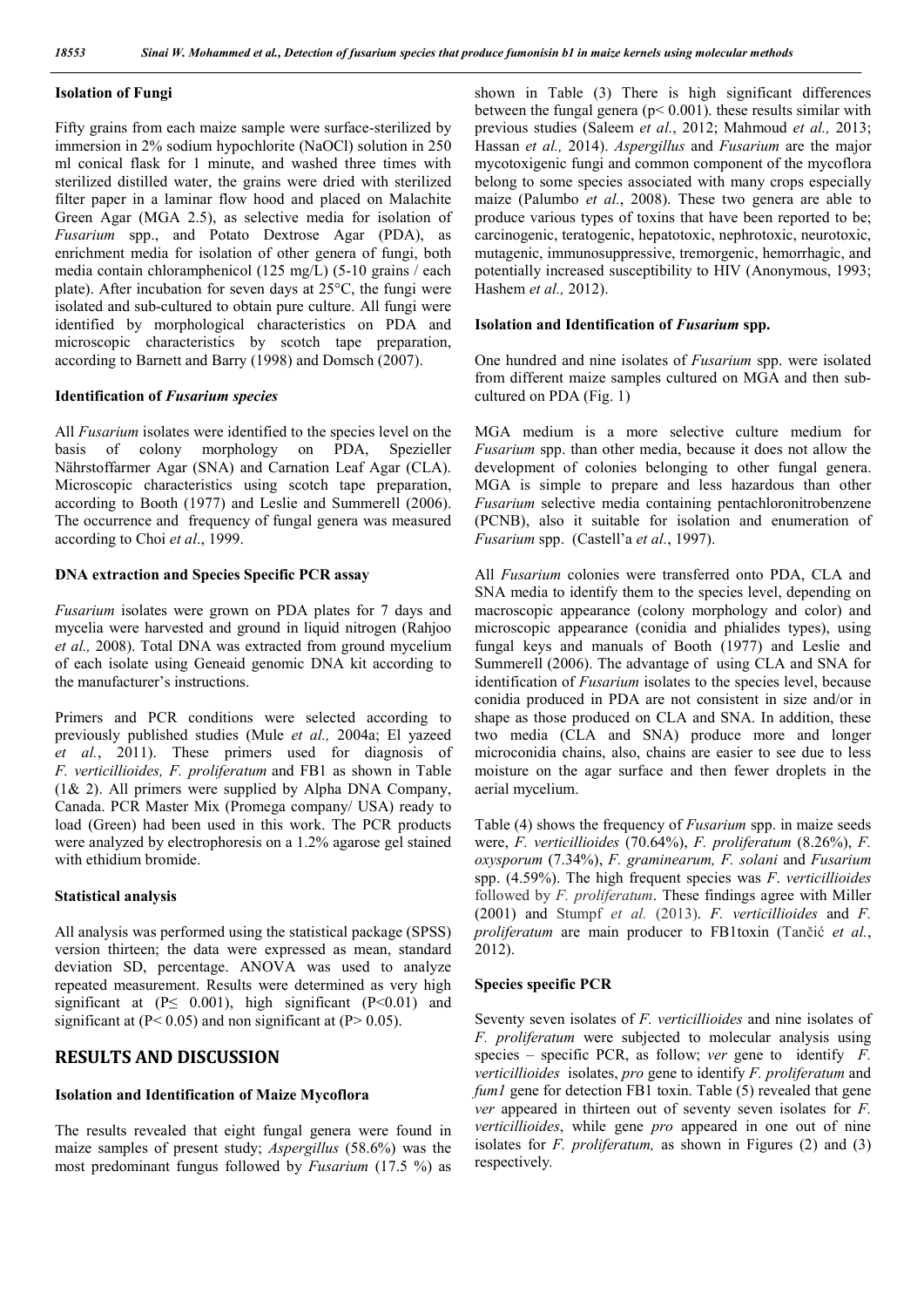### **Isolation of Fungi**

Fifty grains from each maize sample were surface-sterilized by immersion in 2% sodium hypochlorite (NaOCl) solution in 250 ml conical flask for 1 minute, and washed three times with sterilized distilled water, the grains were dried with sterilized filter paper in a laminar flow hood and placed on Malachite Green Agar (MGA 2.5), as selective media for isolation of *Fusarium* spp., and Potato Dextrose Agar (PDA), as enrichment media for isolation of other genera of fungi, both media contain chloramphenicol (125 mg/L) (5-10 grains / each plate). After incubation for seven days at 25°C, the fungi were isolated and sub-cultured to obtain pure culture. All fungi were identified by morphological characteristics on PDA and microscopic characteristics by scotch tape preparation, according to Barnett and Barry (1998) and Domsch (2007).

#### **Identification of** *Fusarium species*

All *Fusarium* isolates were identified to the species level on the basis of colony morphology on PDA, Spezieller Nährstoffarmer Agar (SNA) and Carnation Leaf Agar (CLA). Microscopic characteristics using scotch tape preparation, according to Booth (1977) and Leslie and Summerell (2006). The occurrence and frequency of fungal genera was measured according to Choi *et al*., 1999.

#### **DNA extraction and Species Specific PCR assay**

*Fusarium* isolates were grown on PDA plates for 7 days and mycelia were harvested and ground in liquid nitrogen (Rahjoo *et al.,* 2008). Total DNA was extracted from ground mycelium of each isolate using Geneaid genomic DNA kit according to the manufacturer's instructions.

Primers and PCR conditions were selected according to previously published studies (Mule *et al.,* 2004a; El yazeed *et al.*, 2011). These primers used for diagnosis of *F. verticillioides, F. proliferatum* and FB1 as shown in Table (1& 2). All primers were supplied by Alpha DNA Company, Canada. PCR Master Mix (Promega company/ USA) ready to load (Green) had been used in this work. The PCR products were analyzed by electrophoresis on a 1.2% agarose gel stained with ethidium bromide.

#### **Statistical analysis**

All analysis was performed using the statistical package (SPSS) version thirteen; the data were expressed as mean, standard deviation SD, percentage. ANOVA was used to analyze repeated measurement. Results were determined as very high significant at  $(P \le 0.001)$ , high significant  $(P \le 0.01)$  and significant at  $(P< 0.05)$  and non significant at  $(P> 0.05)$ .

### **RESULTS AND DISCUSSION**

#### **Isolation and Identification of Maize Mycoflora**

The results revealed that eight fungal genera were found in maize samples of present study; *Aspergillus* (58.6%) was the most predominant fungus followed by *Fusarium* (17.5 %) as

shown in Table (3) There is high significant differences between the fungal genera ( $p < 0.001$ ). these results similar with previous studies (Saleem *et al.*, 2012; Mahmoud *et al.,* 2013; Hassan *et al.,* 2014). *Aspergillus* and *Fusarium* are the major mycotoxigenic fungi and common component of the mycoflora belong to some species associated with many crops especially maize (Palumbo *et al.*, 2008). These two genera are able to produce various types of toxins that have been reported to be; carcinogenic, teratogenic, hepatotoxic, nephrotoxic, neurotoxic, mutagenic, immunosuppressive, tremorgenic, hemorrhagic, and potentially increased susceptibility to HIV (Anonymous, 1993; Hashem *et al.,* 2012).

#### **Isolation and Identification of** *Fusarium* **spp.**

One hundred and nine isolates of *Fusarium* spp. were isolated from different maize samples cultured on MGA and then subcultured on PDA (Fig. 1)

MGA medium is a more selective culture medium for *Fusarium* spp. than other media, because it does not allow the development of colonies belonging to other fungal genera. MGA is simple to prepare and less hazardous than other *Fusarium* selective media containing pentachloronitrobenzene (PCNB), also it suitable for isolation and enumeration of *Fusarium* spp. (Castell'a *et al.*, 1997).

All *Fusarium* colonies were transferred onto PDA, CLA and SNA media to identify them to the species level, depending on macroscopic appearance (colony morphology and color) and microscopic appearance (conidia and phialides types), using fungal keys and manuals of Booth (1977) and Leslie and Summerell (2006). The advantage of using CLA and SNA for identification of *Fusarium* isolates to the species level, because conidia produced in PDA are not consistent in size and/or in shape as those produced on CLA and SNA. In addition, these two media (CLA and SNA) produce more and longer microconidia chains, also, chains are easier to see due to less moisture on the agar surface and then fewer droplets in the aerial mycelium.

Table (4) shows the frequency of *Fusarium* spp. in maize seeds were, *F. verticillioides* (70.64%), *F. proliferatum* (8.26%), *F. oxysporum* (7.34%), *F. graminearum, F. solani* and *Fusarium* spp. (4.59%). The high frequent species was *F*. *verticillioides* followed by *F. proliferatum*. These findings agree with Miller (2001) and Stumpf *et al.* (2013). *F. verticillioides* and *F. proliferatum* are main producer to FB1toxin (Tančić *et al.*, 2012).

#### **Species specific PCR**

Seventy seven isolates of *F. verticillioides* and nine isolates of *F. proliferatum* were subjected to molecular analysis using species – specific PCR, as follow; *ver* gene to identify *F. verticillioides* isolates, *pro* gene to identify *F. proliferatum* and *fum1* gene for detection FB1 toxin. Table (5) revealed that gene *ver* appeared in thirteen out of seventy seven isolates for *F. verticillioides*, while gene *pro* appeared in one out of nine isolates for *F. proliferatum,* as shown in Figures (2) and (3) respectively*.*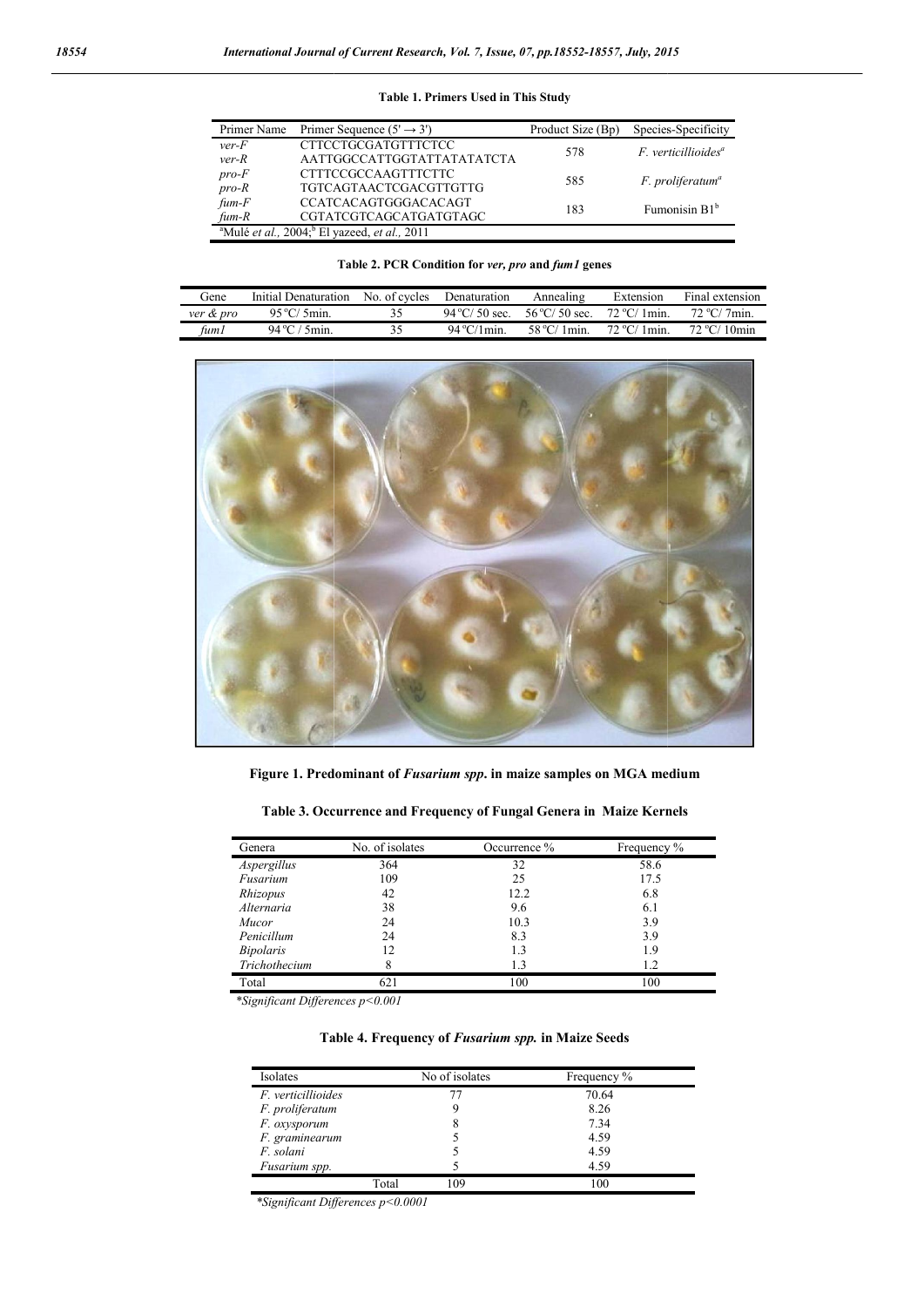| Primer Name                 | Primer Sequence $(5' \rightarrow 3')$                                                | Product Size (Bp) | Species-Specificity                            |
|-----------------------------|--------------------------------------------------------------------------------------|-------------------|------------------------------------------------|
| $ver-F$<br>$ver-R$          | <b>CTTCCTGCGATGTTTCTCC</b><br>AATTGGCCATTGGTATTATATATCTA                             | 578               | $F.$ verticillioides <sup><math>a</math></sup> |
| $pro-F$<br>$pro-R$          | <b>CTTTCCGCCAAGTTTCTTC</b><br><b>TGTCAGTAACTCGACGTTGTTG</b>                          | 585               | F. proliferatum <sup>a</sup>                   |
| $f \cup m$ - $F$<br>$fum-R$ | <b>CCATCACAGTGGGACACAGT</b><br>CGTATCGTCAGCATGATGTAGC                                | 183               | Fumonisin B1 <sup>b</sup>                      |
|                             | <sup>a</sup> Mulé <i>et al.</i> , 2004; <sup>b</sup> El yazeed, <i>et al.</i> , 2011 |                   |                                                |

### **Table 1. Primers Used in This Study**

| Table 2. PCR Condition for ver, pro and fum1 genes |  |  |  |  |  |
|----------------------------------------------------|--|--|--|--|--|
|----------------------------------------------------|--|--|--|--|--|

| Gene      | Initial Denaturation | No. of cycles | Denaturation           | Annealing                | Extension              | Final extension        |
|-----------|----------------------|---------------|------------------------|--------------------------|------------------------|------------------------|
| ver & pro | $95^{\circ}$ C/ 5min | 35.           | $94^{\circ}$ C/ 50 sec | $56\,^{\circ}$ C/ 50 sec | $72 \,^{\circ}$ C/1min | $72 \,^{\circ}$ C/7min |
| fum l     | 94 °C / 5min         | 35.           | $94^{\circ}$ C/1 min   | $58\,^{\circ}$ C/1min    | $72 \,^{\circ}$ C/1min | $72 °C/10$ min         |



**Figure 1. Predominant of**  *Fusarium spp***. in maize samples on MGA medium**

**Table 3. Occurrence and Frequency of Fungal Genera in Maize Kernels** 

| Genera           | No. of isolates | Occurrence % | Frequency % |
|------------------|-----------------|--------------|-------------|
| Aspergillus      | 364             | 32           | 58.6        |
| Fusarium         | 109             | 25           | 17.5        |
| Rhizopus         | 42              | 12.2         | 6.8         |
| Alternaria       | 38              | 9.6          | 6.1         |
| Mucor            | 24              | 10.3         | 3.9         |
| Penicillum       | 24              | 8.3          | 3.9         |
| <i>Bipolaris</i> | 12              | 1.3          | 1.9         |
| Trichothecium    | 8               | 1.3          | 1.2         |
| Total            | 621             | 100          | 100         |

*\*Significant Differences p<0.001*

**Table 4. Frequency of** *Fusarium spp.* **in Maize Seeds**

| Isolates                  |       | No of isolates | Frequency % |
|---------------------------|-------|----------------|-------------|
| <i>F. verticillioides</i> |       | 77             | 70.64       |
| F. proliferatum           |       | Q,             | 8.26        |
| F. oxysporum              |       | 8              | 7.34        |
| F. graminearum            |       |                | 4.59        |
| F. solani                 |       |                | 4.59        |
| Fusarium spp.             |       |                | 4.59        |
|                           | Total | 109            | 100         |

*\*Significant Differences p<0.0001*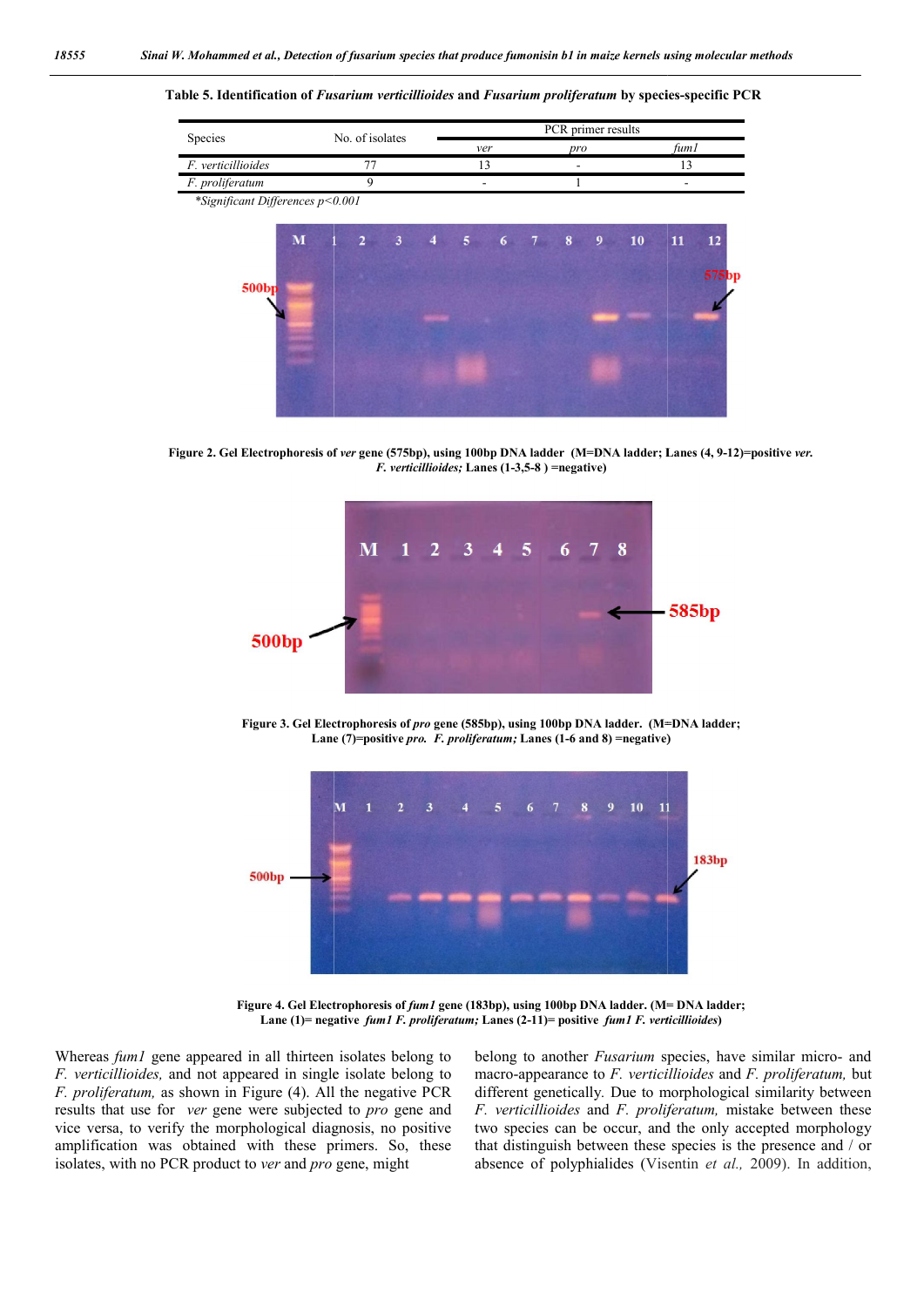**Table 5. Identification of** *Fusarium verticillioides* **and** *Fusarium proliferatum* **by species species-specific PCR**

| Species                          |                 |            |                            |                |           |  |     | PCR primer results |    |      |       |
|----------------------------------|-----------------|------------|----------------------------|----------------|-----------|--|-----|--------------------|----|------|-------|
|                                  | No. of isolates |            |                            |                | ver       |  | pro |                    |    | fum1 |       |
| F. verticillioides               |                 | 77         |                            |                | 13        |  |     |                    |    | 13   |       |
| F. proliferatum                  |                 | 9          |                            |                |           |  |     |                    |    |      |       |
| *Significant Differences p<0.001 |                 |            |                            |                |           |  |     |                    |    |      |       |
| M                                |                 | $\sqrt{2}$ | $\overline{\phantom{a}}$ 3 | $\overline{4}$ | 5 6 7 8 9 |  |     |                    | 10 | 11   | 12    |
|                                  |                 |            |                            |                |           |  |     |                    |    |      |       |
| 500 <sub>bp</sub>                |                 |            |                            |                |           |  |     |                    |    |      | 575bp |
|                                  |                 |            |                            |                |           |  |     |                    |    |      |       |
|                                  |                 |            |                            |                |           |  |     |                    |    |      |       |
|                                  |                 |            |                            |                |           |  |     |                    |    |      |       |
|                                  |                 |            |                            |                |           |  |     |                    |    |      |       |
|                                  |                 |            |                            |                |           |  |     |                    |    |      |       |
|                                  |                 |            |                            |                |           |  |     |                    |    |      |       |

**Figure 2. Gel Electrophoresis of**  *ver* **gene (575bp), using 100bp DNA ladder (M=DNA ladder; Lanes (4, 9 9-12)=positive** *ver. F. verticillioides;* **Lanes (1-3,5-8 ) =negative)**



**Figure 3. Gel Electrophoresis of**  *pro* **gene (585bp), using 100bp DNA ladder. (M=DNA ladder; Lane (7)=positive**  *pro. F. proliferatum;* **Lanes (1-6 and 8) =negative)**



**Figure 4. Gel Electrophoresis of**  *fum1* **gene (183bp), using 100bp DNA ladder. (M= DNA ladder;**  Lane (1)= negative *fum1 F. proliferatum;* Lanes (2-11)= positive *fum1 F. verticillioides*)

Whereas *fum1* gene appeared in all thirteen isolates belong to *F. verticillioides,* and not appeared in single isolate belong to *F. proliferatum,* as shown in Figure (4). All the negative PCR results that use for *ver* gene were subjected to *pro* gene and vice versa, to verify the morphological diagnosis, no positive amplification was obtained with these primers. So, these amplification was obtained with these primers. So, isolates, with no PCR product to *ver* and *pro* gene, might

belong to another *Fusarium* species, have similar micro- and macro-appearance to *F. verticillioides* and *F. proliferatum*, but different genetically*.* Due to morphological similarity between different genetically. Due to morphological similarity between *F. verticillioides* and *F. proliferatum*, mistake between these two species can be occur, and the only accepted morphology two species can be occur, and the only accepted morphology that distinguish between these species is the presence and / or absence of polyphialides (Visentin et al., 2009). In addition,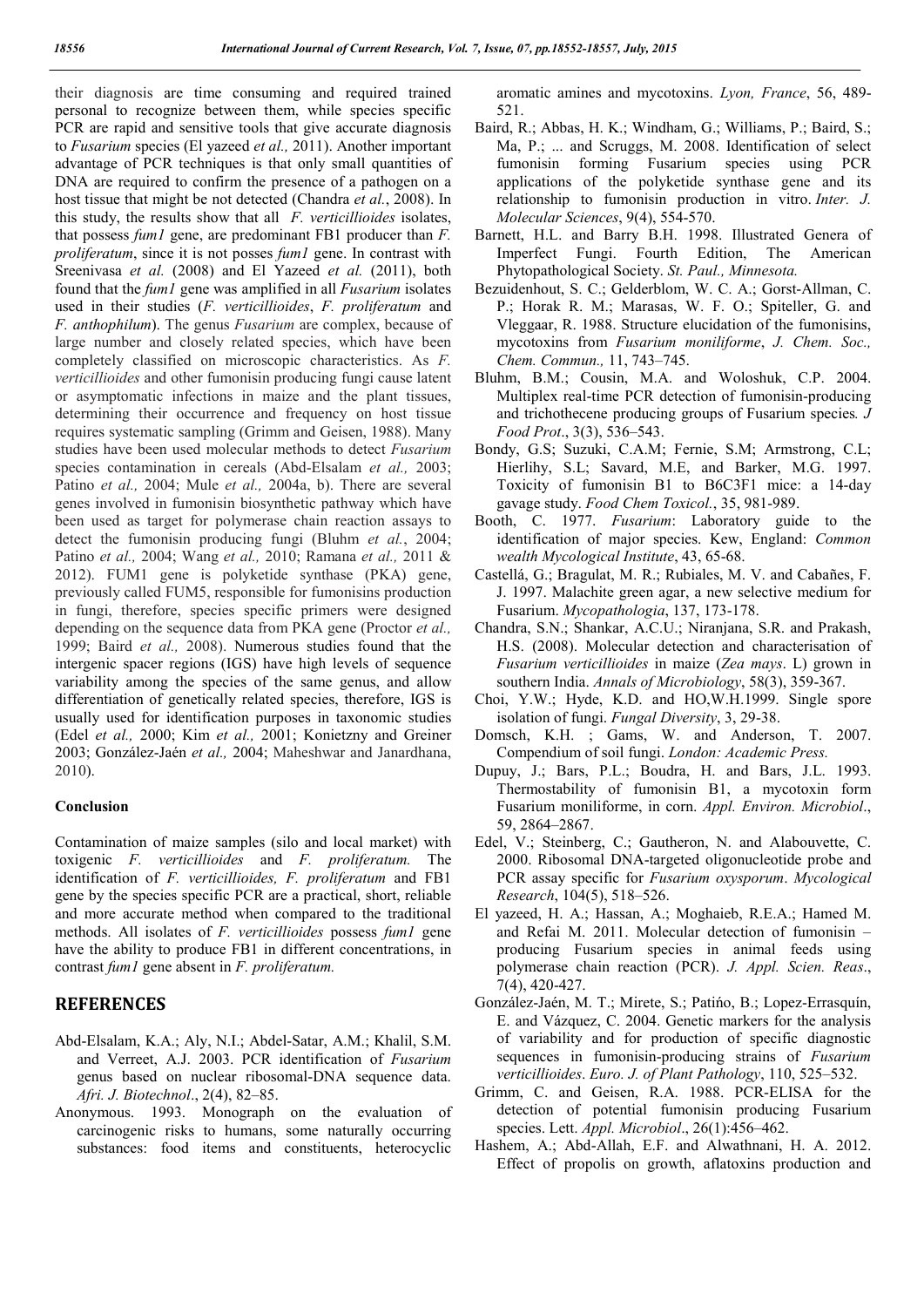their diagnosis are time consuming and required trained personal to recognize between them, while species specific PCR are rapid and sensitive tools that give accurate diagnosis to *Fusarium* species (El yazeed *et al.,* 2011). Another important advantage of PCR techniques is that only small quantities of DNA are required to confirm the presence of a pathogen on a host tissue that might be not detected (Chandra *et al.*, 2008). In this study, the results show that all *F. verticillioides* isolates, that possess *fum1* gene, are predominant FB1 producer than *F. proliferatum*, since it is not posses *fum1* gene. In contrast with Sreenivasa *et al.* (2008) and El Yazeed *et al.* (2011), both found that the *fum1* gene was amplified in all *Fusarium* isolates used in their studies (*F. verticillioides*, *F. proliferatum* and *F. anthophilum*). The genus *Fusarium* are complex, because of large number and closely related species, which have been completely classified on microscopic characteristics. As *F. verticillioides* and other fumonisin producing fungi cause latent or asymptomatic infections in maize and the plant tissues, determining their occurrence and frequency on host tissue requires systematic sampling (Grimm and Geisen, 1988). Many studies have been used molecular methods to detect *Fusarium*  species contamination in cereals (Abd-Elsalam *et al.,* 2003; Patino *et al.,* 2004; Mule *et al.,* 2004a, b). There are several genes involved in fumonisin biosynthetic pathway which have been used as target for polymerase chain reaction assays to detect the fumonisin producing fungi (Bluhm *et al.*, 2004; Patino *et al.,* 2004; Wang *et al.,* 2010; Ramana *et al.,* 2011 & 2012). FUM1 gene is polyketide synthase (PKA) gene, previously called FUM5, responsible for fumonisins production in fungi, therefore, species specific primers were designed depending on the sequence data from PKA gene (Proctor *et al.,* 1999; Baird *et al.,* 2008). Numerous studies found that the intergenic spacer regions (IGS) have high levels of sequence variability among the species of the same genus, and allow differentiation of genetically related species, therefore, IGS is usually used for identification purposes in taxonomic studies (Edel *et al.,* 2000; Kim *et al.,* 2001; Konietzny and Greiner 2003; González-Jaén *et al.,* 2004; Maheshwar and Janardhana, 2010).

#### **Conclusion**

Contamination of maize samples (silo and local market) with toxigenic *F. verticillioides* and *F. proliferatum.* The identification of *F. verticillioides, F. proliferatum* and FB1 gene by the species specific PCR are a practical, short, reliable and more accurate method when compared to the traditional methods. All isolates of *F. verticillioides* possess *fum1* gene have the ability to produce FB1 in different concentrations, in contrast *fum1* gene absent in *F. proliferatum.*

## **REFERENCES**

- Abd-Elsalam, K.A.; Aly, N.I.; Abdel-Satar, A.M.; Khalil, S.M. and Verreet, A.J. 2003. PCR identification of *Fusarium* genus based on nuclear ribosomal-DNA sequence data. *Afri. J. Biotechnol*., 2(4), 82–85.
- Anonymous. 1993. Monograph on the evaluation of carcinogenic risks to humans, some naturally occurring substances: food items and constituents, heterocyclic

aromatic amines and mycotoxins. *Lyon, France*, 56, 489- 521.

- Baird, R.; Abbas, H. K.; Windham, G.; Williams, P.; Baird, S.; Ma, P.; ... and Scruggs, M. 2008. Identification of select fumonisin forming Fusarium species using PCR applications of the polyketide synthase gene and its relationship to fumonisin production in vitro. *Inter. J. Molecular Sciences*, 9(4), 554-570.
- Barnett, H.L. and Barry B.H. 1998. Illustrated Genera of Imperfect Fungi. Fourth Edition, The American Phytopathological Society. *St. Paul., Minnesota.*
- Bezuidenhout, S. C.; Gelderblom, W. C. A.; Gorst-Allman, C. P.; Horak R. M.; Marasas, W. F. O.; Spiteller, G. and Vleggaar, R. 1988. Structure elucidation of the fumonisins, mycotoxins from *Fusarium moniliforme*, *J. Chem. Soc., Chem. Commun.,* 11, 743–745.
- Bluhm, B.M.; Cousin, M.A. and Woloshuk, C.P. 2004. Multiplex real-time PCR detection of fumonisin-producing and trichothecene producing groups of Fusarium species*. J Food Prot*., 3(3), 536–543.
- Bondy, G.S; Suzuki, C.A.M; Fernie, S.M; Armstrong, C.L; Hierlihy, S.L; Savard, M.E, and Barker, M.G. 1997. Toxicity of fumonisin B1 to B6C3F1 mice: a 14-day gavage study. *Food Chem Toxicol.*, 35, 981-989.
- Booth, C. 1977. *Fusarium*: Laboratory guide to the identification of major species. Kew, England: *Common wealth Mycological Institute*, 43, 65-68.
- Castellá, G.; Bragulat, M. R.; Rubiales, M. V. and Cabañes, F. J. 1997. Malachite green agar, a new selective medium for Fusarium. *Mycopathologia*, 137, 173-178.
- Chandra, S.N.; Shankar, A.C.U.; Niranjana, S.R. and Prakash, H.S. (2008). Molecular detection and characterisation of *Fusarium verticillioides* in maize (*Zea mays*. L) grown in southern India. *Annals of Microbiology*, 58(3), 359-367.
- Choi, Y.W.; Hyde, K.D. and HO,W.H.1999. Single spore isolation of fungi. *Fungal Diversity*, 3, 29-38.
- Domsch, K.H. ; Gams, W. and Anderson, T. 2007. Compendium of soil fungi. *London: Academic Press.*
- Dupuy, J.; Bars, P.L.; Boudra, H. and Bars, J.L. 1993. Thermostability of fumonisin B1, a mycotoxin form Fusarium moniliforme, in corn. *Appl. Environ. Microbiol*., 59, 2864–2867.
- Edel, V.; Steinberg, C.; Gautheron, N. and Alabouvette, C. 2000. Ribosomal DNA-targeted oligonucleotide probe and PCR assay specific for *Fusarium oxysporum*. *Mycological Research*, 104(5), 518–526.
- El yazeed, H. A.; Hassan, A.; Moghaieb, R.E.A.; Hamed M. and Refai M. 2011. Molecular detection of fumonisin – producing Fusarium species in animal feeds using polymerase chain reaction (PCR). *J. Appl. Scien. Reas*., 7(4), 420-427.
- González-Jaén, M. T.; Mirete, S.; Patińo, B.; Lopez-Errasquín, E. and Vázquez, C. 2004. Genetic markers for the analysis of variability and for production of specific diagnostic sequences in fumonisin-producing strains of *Fusarium verticillioides*. *Euro. J. of Plant Pathology*, 110, 525–532.
- Grimm, C. and Geisen, R.A. 1988. PCR-ELISA for the detection of potential fumonisin producing Fusarium species. Lett. *Appl. Microbiol*., 26(1):456–462.
- Hashem, A.; Abd-Allah, E.F. and Alwathnani, H. A. 2012. Effect of propolis on growth, aflatoxins production and